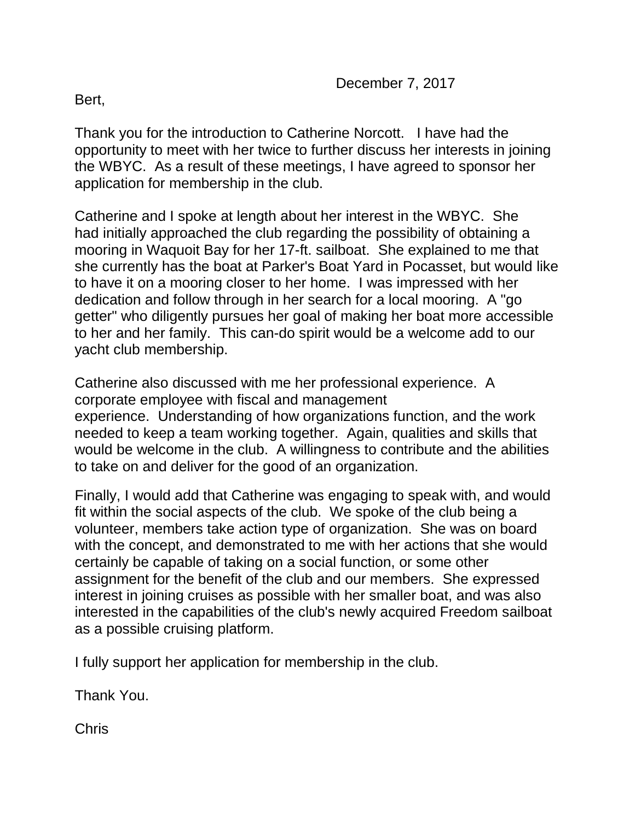Bert,

Thank you for the introduction to Catherine Norcott. I have had the opportunity to meet with her twice to further discuss her interests in joining the WBYC. As a result of these meetings, I have agreed to sponsor her application for membership in the club.

Catherine and I spoke at length about her interest in the WBYC. She had initially approached the club regarding the possibility of obtaining a mooring in Waquoit Bay for her 17-ft. sailboat. She explained to me that she currently has the boat at Parker's Boat Yard in Pocasset, but would like to have it on a mooring closer to her home. I was impressed with her dedication and follow through in her search for a local mooring. A "go getter" who diligently pursues her goal of making her boat more accessible to her and her family. This can-do spirit would be a welcome add to our yacht club membership.

Catherine also discussed with me her professional experience. A corporate employee with fiscal and management experience. Understanding of how organizations function, and the work needed to keep a team working together. Again, qualities and skills that would be welcome in the club. A willingness to contribute and the abilities to take on and deliver for the good of an organization.

Finally, I would add that Catherine was engaging to speak with, and would fit within the social aspects of the club. We spoke of the club being a volunteer, members take action type of organization. She was on board with the concept, and demonstrated to me with her actions that she would certainly be capable of taking on a social function, or some other assignment for the benefit of the club and our members. She expressed interest in joining cruises as possible with her smaller boat, and was also interested in the capabilities of the club's newly acquired Freedom sailboat as a possible cruising platform.

I fully support her application for membership in the club.

Thank You.

Chris